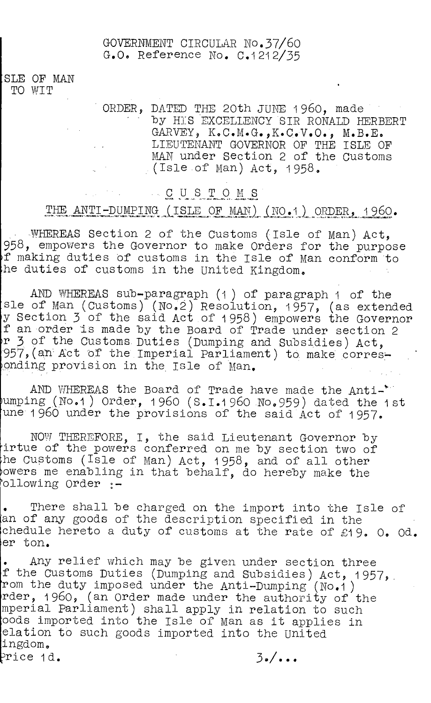#### GOVERNMENT CIRCULAR N0.37/60 G.O. Reference No. C.1212/35

SLE OF MAN TO WIT

> ORDER, DATED THE 20th JUNE 1960, made by HIS EXCELLENCY SIR RONALD HERBERT GARVEY, K.C.M.G.,K.C.V.O., M.B.E. LIEUTENANT GOVERNOR OF THE ISLE OF MAN under Section 2 of the Customs  $($ Isle of Man) Act, 1958.

## CUSTOMS

## THE ANTI-DUMPING (ISLE OF MAN) (NO.1) ORDER, 1960.

WHEREAS Section 2 of the Customs (Isle of Man) Act, 958, empowers the Governor to make Orders for the purpose f making duties Of customs in the Isle of Man conform to he duties of customs in the United Kingdom.

AND WHEREAS sub-paragraph (1) of paragraph 1 of the sle of Man (Customs) (No,2) Resolution, 1957, (as extended y Section 3 of the said Act of 1958) empowers the Governor f an order is made by the Board of Trade under section 2 r 3 of the Customs. Duties (Dumping and Subsidies) Act, 957, (an Act of the Imperial Parliament) to make corresonding provision in the Isle of Man.

AND WHEREAS the Board of Trade have made the Anti-' umping (No.1) Order, 1 960 (S.I.1960 No.959) dated the 1st une 1960 under the provisions of the said Act of 1957.

NOW THEREFORE, I, the said Lieutenant Governor by irtue of the powers conferred on me by section two of the Customs (Isle of Man) Act, 1958, and of all other owers me enabling in that behalf, do hereby make the ollowing Order :-

There shall be charged on the import into the Isle of an of any goods of the description specified in the chedule hereto a duty of customs at the rate of £19. O. Od. er ton.

Any relief which may be given under section three f the Customs Duties (Dumping and Subsidies) Act, 1957, rom the duty imposed under the Anti-Dumping (No.1) rder, 1960, (an Order made under the authority of the mperial Parliament) shall apply in relation to such oods imported into the Isle of Man as it applies in elation to such goods imported into the United ingdom.  $\text{Price 1d.}$   $\text{3.}/\text{...}$